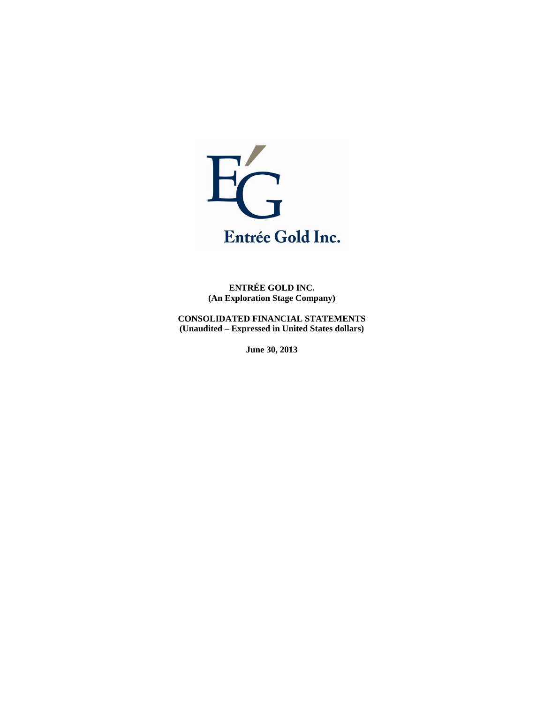

**ENTRÉE GOLD INC. (An Exploration Stage Company)** 

**CONSOLIDATED FINANCIAL STATEMENTS (Unaudited – Expressed in United States dollars)** 

**June 30, 2013**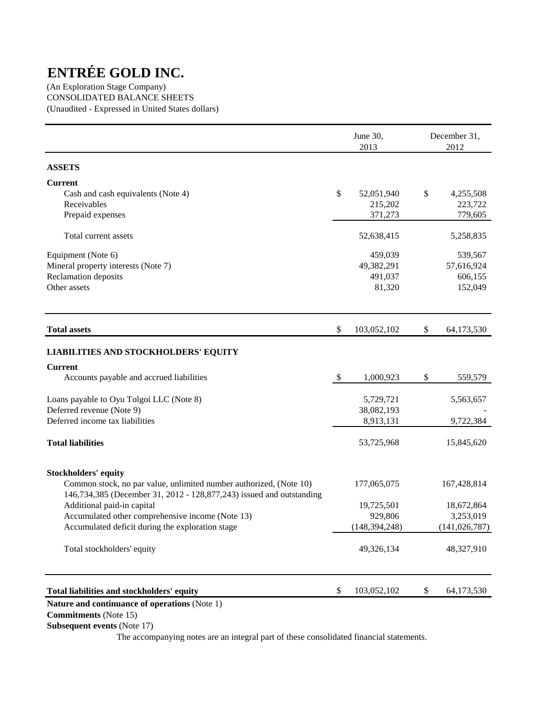(An Exploration Stage Company) CONSOLIDATED BALANCE SHEETS (Unaudited - Expressed in United States dollars)

|                                                                                                                                            |               | June 30,<br>2013 | December 31,<br>2012 |
|--------------------------------------------------------------------------------------------------------------------------------------------|---------------|------------------|----------------------|
| <b>ASSETS</b>                                                                                                                              |               |                  |                      |
| <b>Current</b>                                                                                                                             |               |                  |                      |
| Cash and cash equivalents (Note 4)                                                                                                         | \$            | 52,051,940       | \$<br>4,255,508      |
| Receivables                                                                                                                                |               | 215,202          | 223,722              |
| Prepaid expenses                                                                                                                           |               | 371,273          | 779,605              |
| Total current assets                                                                                                                       |               | 52,638,415       | 5,258,835            |
| Equipment (Note 6)                                                                                                                         |               | 459,039          | 539,567              |
| Mineral property interests (Note 7)                                                                                                        |               | 49,382,291       | 57,616,924           |
| Reclamation deposits                                                                                                                       |               | 491,037          | 606,155              |
| Other assets                                                                                                                               |               | 81,320           | 152,049              |
| <b>Total assets</b>                                                                                                                        | \$            | 103,052,102      | \$<br>64,173,530     |
| <b>LIABILITIES AND STOCKHOLDERS' EQUITY</b>                                                                                                |               |                  |                      |
| <b>Current</b>                                                                                                                             |               |                  |                      |
| Accounts payable and accrued liabilities                                                                                                   | $\mathcal{S}$ | 1,000,923        | \$<br>559,579        |
| Loans payable to Oyu Tolgoi LLC (Note 8)                                                                                                   |               | 5,729,721        | 5,563,657            |
| Deferred revenue (Note 9)                                                                                                                  |               | 38,082,193       |                      |
| Deferred income tax liabilities                                                                                                            |               | 8,913,131        | 9,722,384            |
| <b>Total liabilities</b>                                                                                                                   |               | 53,725,968       | 15,845,620           |
| <b>Stockholders' equity</b>                                                                                                                |               |                  |                      |
| Common stock, no par value, unlimited number authorized, (Note 10)<br>146,734,385 (December 31, 2012 - 128,877,243) issued and outstanding |               | 177,065,075      | 167,428,814          |
| Additional paid-in capital                                                                                                                 |               | 19,725,501       | 18,672,864           |
| Accumulated other comprehensive income (Note 13)                                                                                           |               | 929,806          | 3,253,019            |
| Accumulated deficit during the exploration stage                                                                                           |               | (148, 394, 248)  | (141, 026, 787)      |
| Total stockholders' equity                                                                                                                 |               | 49,326,134       | 48,327,910           |
| Total liabilities and stockholders' equity                                                                                                 | \$            | 103,052,102      | \$<br>64,173,530     |

## **Nature and continuance of operations** (Note 1)

 **Commitments** (Note 15)

 **Subsequent events** (Note 17)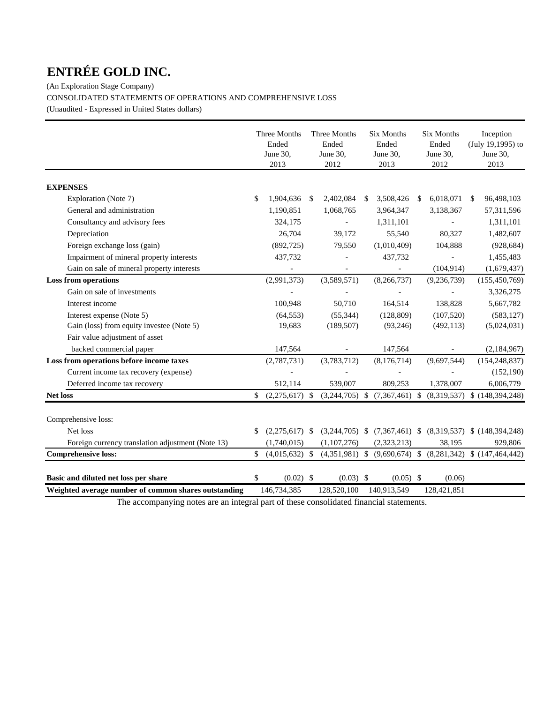(An Exploration Stage Company)

CONSOLIDATED STATEMENTS OF OPERATIONS AND COMPREHENSIVE LOSS

(Unaudited - Expressed in United States dollars)

|                                                      | Three Months<br>Ended<br>June 30,<br>2013 | Three Months<br>Ended<br>June 30,<br>2012 |    | <b>Six Months</b><br>Ended<br>June 30,<br>2013 |     | <b>Six Months</b><br>Ended<br>June 30,<br>2012 |               | Inception<br>(July 19,1995) to<br>June 30,<br>2013                 |
|------------------------------------------------------|-------------------------------------------|-------------------------------------------|----|------------------------------------------------|-----|------------------------------------------------|---------------|--------------------------------------------------------------------|
| <b>EXPENSES</b>                                      |                                           |                                           |    |                                                |     |                                                |               |                                                                    |
| Exploration (Note 7)                                 | \$<br>1,904,636                           | \$<br>2,402,084                           | -S | 3,508,426                                      | \$. | 6,018,071                                      | <sup>\$</sup> | 96,498,103                                                         |
| General and administration                           | 1,190,851                                 | 1,068,765                                 |    | 3,964,347                                      |     | 3,138,367                                      |               | 57,311,596                                                         |
| Consultancy and advisory fees                        | 324,175                                   |                                           |    | 1,311,101                                      |     |                                                |               | 1,311,101                                                          |
| Depreciation                                         | 26,704                                    | 39,172                                    |    | 55,540                                         |     | 80,327                                         |               | 1,482,607                                                          |
| Foreign exchange loss (gain)                         | (892, 725)                                | 79,550                                    |    | (1,010,409)                                    |     | 104,888                                        |               | (928, 684)                                                         |
| Impairment of mineral property interests             | 437,732                                   |                                           |    | 437,732                                        |     |                                                |               | 1,455,483                                                          |
| Gain on sale of mineral property interests           | $\overline{\phantom{a}}$                  | $\overline{\phantom{a}}$                  |    |                                                |     | (104, 914)                                     |               | (1,679,437)                                                        |
| <b>Loss from operations</b>                          | (2,991,373)                               | (3,589,571)                               |    | (8,266,737)                                    |     | (9, 236, 739)                                  |               | (155, 450, 769)                                                    |
| Gain on sale of investments                          |                                           |                                           |    |                                                |     |                                                |               | 3,326,275                                                          |
| Interest income                                      | 100,948                                   | 50,710                                    |    | 164,514                                        |     | 138,828                                        |               | 5,667,782                                                          |
| Interest expense (Note 5)                            | (64, 553)                                 | (55, 344)                                 |    | (128, 809)                                     |     | (107, 520)                                     |               | (583, 127)                                                         |
| Gain (loss) from equity investee (Note 5)            | 19,683                                    | (189, 507)                                |    | (93, 246)                                      |     | (492, 113)                                     |               | (5,024,031)                                                        |
| Fair value adjustment of asset                       |                                           |                                           |    |                                                |     |                                                |               |                                                                    |
| backed commercial paper                              | 147,564                                   |                                           |    | 147,564                                        |     |                                                |               | (2,184,967)                                                        |
| Loss from operations before income taxes             | (2,787,731)                               | (3,783,712)                               |    | (8,176,714)                                    |     | (9,697,544)                                    |               | (154, 248, 837)                                                    |
| Current income tax recovery (expense)                |                                           |                                           |    |                                                |     |                                                |               | (152, 190)                                                         |
| Deferred income tax recovery                         | 512,114                                   | 539,007                                   |    | 809,253                                        |     | 1,378,007                                      |               | 6,006,779                                                          |
| <b>Net loss</b>                                      | \$<br>$(2,275,617)$ \$                    |                                           |    |                                                |     |                                                |               | $(3,244,705)$ \$ $(7,367,461)$ \$ $(8,319,537)$ \$ $(148,394,248)$ |
| Comprehensive loss:                                  |                                           |                                           |    |                                                |     |                                                |               |                                                                    |
| Net loss                                             | \$<br>$(2,275,617)$ \$                    |                                           |    |                                                |     |                                                |               | $(3,244,705)$ \$ $(7,367,461)$ \$ $(8,319,537)$ \$ $(148,394,248)$ |
| Foreign currency translation adjustment (Note 13)    | (1,740,015)                               | (1,107,276)                               |    | (2,323,213)                                    |     | 38,195                                         |               | 929,806                                                            |
| <b>Comprehensive loss:</b>                           | \$<br>$(4,015,632)$ \$                    | $(4,351,981)$ \$                          |    | $(9,690,674)$ \$ $(8,281,342)$                 |     |                                                |               | \$(147, 464, 442)                                                  |
| Basic and diluted net loss per share                 | \$<br>$(0.02)$ \$<br>146,734,385          | $(0.03)$ \$<br>128,520,100                |    | $(0.05)$ \$<br>140,913,549                     |     | (0.06)<br>128,421,851                          |               |                                                                    |
| Weighted average number of common shares outstanding |                                           |                                           |    |                                                |     |                                                |               |                                                                    |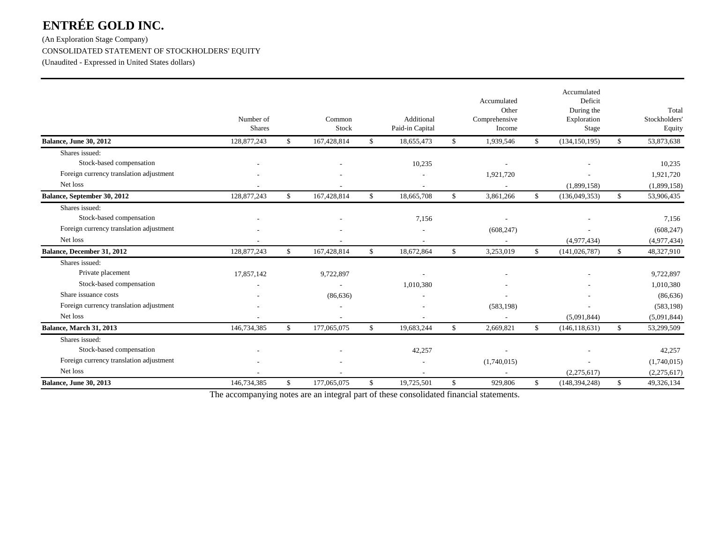(An Exploration Stage Company) CONSOLIDATED STATEMENT OF STOCKHOLDERS' EQUITY

(Unaudited - Expressed in United States dollars)

|                                         | Number of<br><b>Shares</b> |              | Common<br>Stock | Additional<br>Paid-in Capital | Accumulated<br>Other<br>Comprehensive<br>Income |               | Accumulated<br>Deficit<br>During the<br>Exploration<br>Stage |              | Total<br>Stockholders<br>Equity |
|-----------------------------------------|----------------------------|--------------|-----------------|-------------------------------|-------------------------------------------------|---------------|--------------------------------------------------------------|--------------|---------------------------------|
| <b>Balance, June 30, 2012</b>           | 128,877,243                | $\mathbb{S}$ | 167,428,814     | \$<br>18,655,473              | \$<br>1,939,546                                 | \$            | (134, 150, 195)                                              | \$           | 53,873,638                      |
| Shares issued:                          |                            |              |                 |                               |                                                 |               |                                                              |              |                                 |
| Stock-based compensation                |                            |              |                 | 10,235                        |                                                 |               |                                                              |              | 10,235                          |
| Foreign currency translation adjustment |                            |              |                 |                               | 1,921,720                                       |               |                                                              |              | 1,921,720                       |
| Net loss                                |                            |              |                 |                               | $\overline{\phantom{a}}$                        |               | (1,899,158)                                                  |              | (1,899,158)                     |
| Balance, September 30, 2012             | 128,877,243                | \$           | 167,428,814     | \$<br>18,665,708              | \$<br>3,861,266                                 | \$            | (136,049,353)                                                | \$           | 53,906,435                      |
| Shares issued:                          |                            |              |                 |                               |                                                 |               |                                                              |              |                                 |
| Stock-based compensation                |                            |              |                 | 7,156                         | $\overline{\phantom{a}}$                        |               |                                                              |              | 7,156                           |
| Foreign currency translation adjustment |                            |              |                 |                               | (608, 247)                                      |               |                                                              |              | (608, 247)                      |
| Net loss                                |                            |              |                 |                               | $\overline{\phantom{a}}$                        |               | (4,977,434)                                                  |              | (4,977,434)                     |
| Balance, December 31, 2012              | 128,877,243                | \$           | 167,428,814     | \$<br>18,672,864              | \$<br>3,253,019                                 | $\mathbb{S}$  | (141, 026, 787)                                              | \$           | 48,327,910                      |
| Shares issued:                          |                            |              |                 |                               |                                                 |               |                                                              |              |                                 |
| Private placement                       | 17,857,142                 |              | 9,722,897       |                               |                                                 |               |                                                              |              | 9,722,897                       |
| Stock-based compensation                |                            |              |                 | 1,010,380                     |                                                 |               |                                                              |              | 1,010,380                       |
| Share issuance costs                    |                            |              | (86, 636)       |                               |                                                 |               |                                                              |              | (86, 636)                       |
| Foreign currency translation adjustment |                            |              |                 |                               | (583, 198)                                      |               |                                                              |              | (583, 198)                      |
| Net loss                                |                            |              |                 |                               | $\overline{\phantom{a}}$                        |               | (5,091,844)                                                  |              | (5,091,844)                     |
| Balance, March 31, 2013                 | 146,734,385                | $\mathbb{S}$ | 177,065,075     | \$<br>19,683,244              | \$<br>2,669,821                                 | $\mathbf{\$}$ | (146, 118, 631)                                              | $\mathbb{S}$ | 53,299,509                      |
| Shares issued:                          |                            |              |                 |                               |                                                 |               |                                                              |              |                                 |
| Stock-based compensation                |                            |              |                 | 42,257                        | $\overline{\phantom{0}}$                        |               |                                                              |              | 42,257                          |
| Foreign currency translation adjustment |                            |              |                 |                               | (1,740,015)                                     |               |                                                              |              | (1,740,015)                     |
| Net loss                                |                            |              |                 |                               |                                                 |               | (2,275,617)                                                  |              | (2,275,617)                     |
| <b>Balance, June 30, 2013</b>           | 146,734,385                | \$           | 177,065,075     | \$<br>19,725,501              | \$<br>929,806                                   | \$            | (148, 394, 248)                                              | \$           | 49,326,134                      |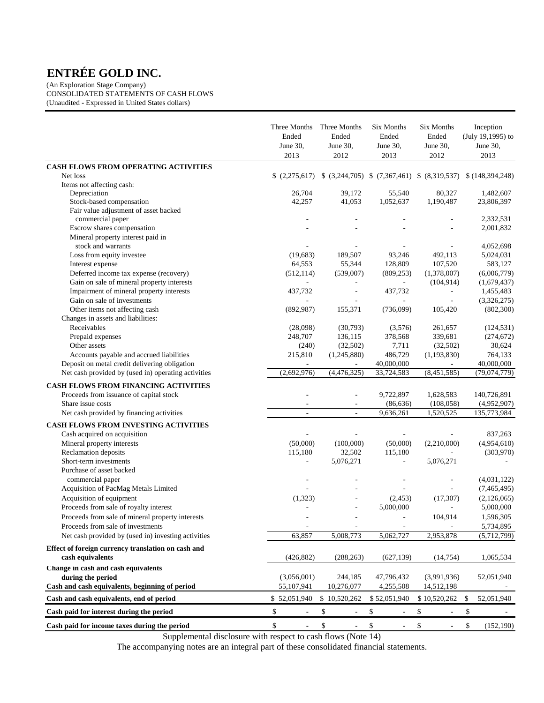(An Exploration Stage Company) CONSOLIDATED STATEMENTS OF CASH FLOWS (Unaudited - Expressed in United States dollars)

|                                                                         | Three Months<br>Ended<br>June 30,<br>2013 | Three Months<br>Ended<br>June 30,<br>2012 | Six Months<br>Ended<br>June 30,<br>2013                                 | Six Months<br>Ended<br>June 30,<br>2012 | Inception<br>(July 19,1995) to<br>June 30,<br>2013 |
|-------------------------------------------------------------------------|-------------------------------------------|-------------------------------------------|-------------------------------------------------------------------------|-----------------------------------------|----------------------------------------------------|
| CASH FLOWS FROM OPERATING ACTIVITIES                                    |                                           |                                           |                                                                         |                                         |                                                    |
| Net loss                                                                |                                           |                                           | $(2,275,617)$ $(3,244,705)$ $(7,367,461)$ $(8,319,537)$ $(148,394,248)$ |                                         |                                                    |
| Items not affecting cash:                                               |                                           |                                           |                                                                         |                                         |                                                    |
| Depreciation                                                            | 26,704                                    | 39,172                                    | 55,540                                                                  | 80,327                                  | 1,482,607                                          |
| Stock-based compensation                                                | 42,257                                    | 41,053                                    | 1,052,637                                                               | 1,190,487                               | 23,806,397                                         |
| Fair value adjustment of asset backed                                   |                                           |                                           |                                                                         |                                         |                                                    |
| commercial paper                                                        |                                           |                                           | ÷,                                                                      | $\overline{a}$                          | 2,332,531                                          |
| Escrow shares compensation                                              |                                           |                                           |                                                                         |                                         | 2,001,832                                          |
| Mineral property interest paid in                                       |                                           |                                           |                                                                         |                                         |                                                    |
| stock and warrants                                                      |                                           |                                           |                                                                         |                                         | 4,052,698                                          |
| Loss from equity investee                                               | (19,683)                                  | 189,507                                   | 93,246                                                                  | 492,113                                 | 5,024,031                                          |
| Interest expense                                                        | 64,553                                    | 55,344                                    | 128,809                                                                 | 107,520                                 | 583,127                                            |
| Deferred income tax expense (recovery)                                  | (512, 114)                                | (539,007)                                 | (809, 253)                                                              | (1,378,007)                             | (6,006,779)                                        |
| Gain on sale of mineral property interests                              |                                           | ä,<br>÷,                                  | $\blacksquare$                                                          | (104, 914)                              | (1,679,437)                                        |
| Impairment of mineral property interests<br>Gain on sale of investments | 437,732                                   |                                           | 437,732<br>$\overline{\phantom{a}}$                                     | $\equiv$                                | 1,455,483                                          |
| Other items not affecting cash                                          | (892, 987)                                | 155,371                                   | (736,099)                                                               | $\overline{\phantom{a}}$<br>105,420     | (3,326,275)<br>(802,300)                           |
| Changes in assets and liabilities:                                      |                                           |                                           |                                                                         |                                         |                                                    |
| Receivables                                                             | (28,098)                                  | (30,793)                                  | (3,576)                                                                 | 261,657                                 | (124, 531)                                         |
| Prepaid expenses                                                        | 248,707                                   | 136,115                                   | 378,568                                                                 | 339,681                                 | (274, 672)                                         |
| Other assets                                                            | (240)                                     | (32,502)                                  | 7,711                                                                   | (32,502)                                | 30,624                                             |
| Accounts payable and accrued liabilities                                | 215,810                                   | (1,245,880)                               | 486,729                                                                 | (1, 193, 830)                           | 764,133                                            |
| Deposit on metal credit delivering obligation                           | $\overline{\phantom{a}}$                  |                                           | 40,000,000                                                              | $\blacksquare$                          | 40,000,000                                         |
| Net cash provided by (used in) operating activities                     | (2,692,976)                               | (4,476,325)                               | 33,724,583                                                              | (8,451,585)                             | (79, 074, 779)                                     |
|                                                                         |                                           |                                           |                                                                         |                                         |                                                    |
| <b>CASH FLOWS FROM FINANCING ACTIVITIES</b>                             |                                           |                                           |                                                                         |                                         |                                                    |
| Proceeds from issuance of capital stock                                 |                                           |                                           | 9,722,897                                                               | 1,628,583                               | 140,726,891                                        |
| Share issue costs                                                       |                                           |                                           | (86, 636)                                                               | (108, 058)                              | (4,952,907)                                        |
| Net cash provided by financing activities                               | $\sim$                                    | $\bar{a}$                                 | 9,636,261                                                               | 1,520,525                               | 135,773,984                                        |
| CASH FLOWS FROM INVESTING ACTIVITIES                                    |                                           |                                           |                                                                         |                                         |                                                    |
| Cash acquired on acquisition                                            |                                           |                                           | $\sim$                                                                  |                                         | 837,263                                            |
| Mineral property interests                                              | (50,000)                                  | (100,000)                                 | (50,000)                                                                | (2,210,000)                             | (4,954,610)                                        |
| Reclamation deposits                                                    | 115,180                                   | 32,502                                    | 115,180                                                                 | ÷.                                      | (303,970)                                          |
| Short-term investments                                                  | ÷,                                        | 5,076,271                                 | $\overline{\phantom{a}}$                                                | 5,076,271                               |                                                    |
| Purchase of asset backed                                                |                                           |                                           |                                                                         |                                         |                                                    |
| commercial paper                                                        |                                           |                                           |                                                                         |                                         | (4,031,122)                                        |
| Acquisition of PacMag Metals Limited                                    |                                           |                                           |                                                                         |                                         | (7,465,495)                                        |
| Acquisition of equipment                                                | (1,323)                                   |                                           | (2, 453)                                                                | (17, 307)                               | (2,126,065)                                        |
| Proceeds from sale of royalty interest                                  |                                           |                                           | 5,000,000                                                               | ÷,                                      | 5,000,000                                          |
| Proceeds from sale of mineral property interests                        |                                           | ٠                                         | ÷,                                                                      | 104,914                                 | 1,596,305                                          |
| Proceeds from sale of investments                                       |                                           |                                           |                                                                         |                                         | 5,734,895                                          |
| Net cash provided by (used in) investing activities                     | 63,857                                    | 5,008,773                                 | 5,062,727                                                               | 2,953,878                               | (5,712,799)                                        |
| Effect of foreign currency translation on cash and                      |                                           |                                           |                                                                         |                                         |                                                    |
| cash equivalents                                                        | (426, 882)                                | (288, 263)                                | (627, 139)                                                              | (14, 754)                               | 1,065,534                                          |
| Change in cash and cash equivalents                                     |                                           |                                           |                                                                         |                                         |                                                    |
| during the period                                                       | (3,056,001)                               | 244,185                                   | 47,796,432                                                              | (3,991,936)                             | 52,051,940                                         |
| Cash and cash equivalents, beginning of period                          | 55,107,941                                | 10,276,077                                | 4,255,508                                                               | 14,512,198                              |                                                    |
| Cash and cash equivalents, end of period                                | \$52,051,940                              | \$10,520,262                              | \$52,051,940                                                            | \$10,520,262                            | \$<br>52,051,940                                   |
| Cash paid for interest during the period                                | $\mathbb S$                               | \$                                        | \$                                                                      | \$                                      | \$                                                 |
| Cash paid for income taxes during the period                            | \$                                        | \$                                        | \$<br>ä,                                                                | \$                                      | \$<br>(152, 190)                                   |

Supplemental disclosure with respect to cash flows (Note 14)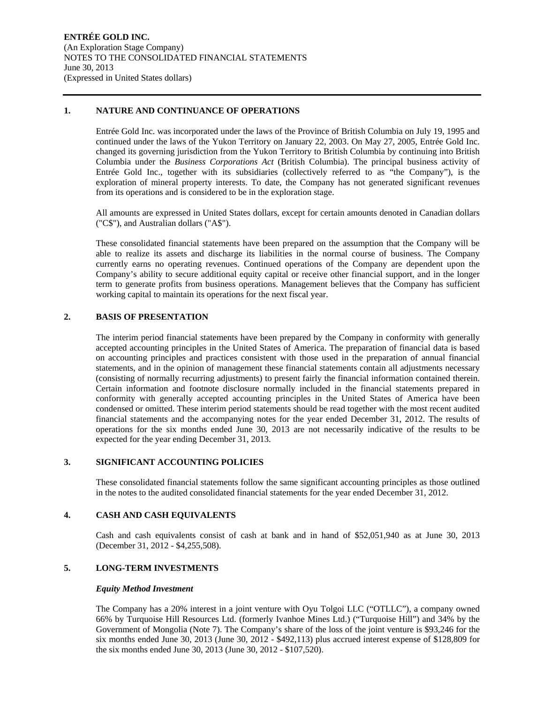#### **1. NATURE AND CONTINUANCE OF OPERATIONS**

Entrée Gold Inc. was incorporated under the laws of the Province of British Columbia on July 19, 1995 and continued under the laws of the Yukon Territory on January 22, 2003. On May 27, 2005, Entrée Gold Inc. changed its governing jurisdiction from the Yukon Territory to British Columbia by continuing into British Columbia under the *Business Corporations Act* (British Columbia). The principal business activity of Entrée Gold Inc., together with its subsidiaries (collectively referred to as "the Company"), is the exploration of mineral property interests. To date, the Company has not generated significant revenues from its operations and is considered to be in the exploration stage.

All amounts are expressed in United States dollars, except for certain amounts denoted in Canadian dollars ("C\$"), and Australian dollars ("A\$").

These consolidated financial statements have been prepared on the assumption that the Company will be able to realize its assets and discharge its liabilities in the normal course of business. The Company currently earns no operating revenues. Continued operations of the Company are dependent upon the Company's ability to secure additional equity capital or receive other financial support, and in the longer term to generate profits from business operations. Management believes that the Company has sufficient working capital to maintain its operations for the next fiscal year.

## **2. BASIS OF PRESENTATION**

The interim period financial statements have been prepared by the Company in conformity with generally accepted accounting principles in the United States of America. The preparation of financial data is based on accounting principles and practices consistent with those used in the preparation of annual financial statements, and in the opinion of management these financial statements contain all adjustments necessary (consisting of normally recurring adjustments) to present fairly the financial information contained therein. Certain information and footnote disclosure normally included in the financial statements prepared in conformity with generally accepted accounting principles in the United States of America have been condensed or omitted. These interim period statements should be read together with the most recent audited financial statements and the accompanying notes for the year ended December 31, 2012. The results of operations for the six months ended June 30, 2013 are not necessarily indicative of the results to be expected for the year ending December 31, 2013.

### **3. SIGNIFICANT ACCOUNTING POLICIES**

These consolidated financial statements follow the same significant accounting principles as those outlined in the notes to the audited consolidated financial statements for the year ended December 31, 2012.

#### **4. CASH AND CASH EQUIVALENTS**

Cash and cash equivalents consist of cash at bank and in hand of \$52,051,940 as at June 30, 2013 (December 31, 2012 - \$4,255,508).

## **5. LONG-TERM INVESTMENTS**

#### *Equity Method Investment*

The Company has a 20% interest in a joint venture with Oyu Tolgoi LLC ("OTLLC"), a company owned 66% by Turquoise Hill Resources Ltd. (formerly Ivanhoe Mines Ltd.) ("Turquoise Hill") and 34% by the Government of Mongolia (Note 7). The Company's share of the loss of the joint venture is \$93,246 for the six months ended June 30, 2013 (June 30, 2012 - \$492,113) plus accrued interest expense of \$128,809 for the six months ended June 30, 2013 (June 30, 2012 - \$107,520).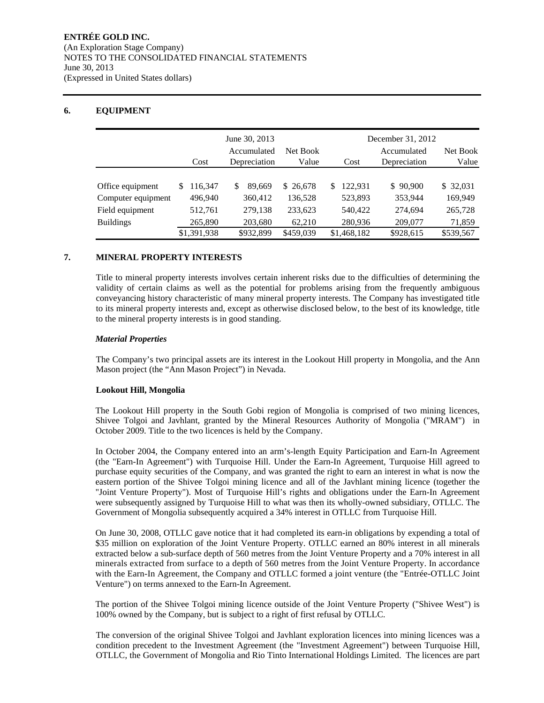## **6. EQUIPMENT**

|                    |   |             |   | June 30, 2013<br>Accumulated | Net Book  |    | December 31, 2012 | Net Book                    |           |
|--------------------|---|-------------|---|------------------------------|-----------|----|-------------------|-----------------------------|-----------|
|                    |   | Cost        |   | Depreciation                 | Value     |    | Cost              | Accumulated<br>Depreciation | Value     |
|                    |   |             |   |                              |           |    |                   |                             |           |
| Office equipment   | S | 116.347     | S | 89.669                       | \$26,678  | S. | 122.931           | \$90,900                    | \$ 32,031 |
| Computer equipment |   | 496,940     |   | 360,412                      | 136,528   |    | 523,893           | 353,944                     | 169,949   |
| Field equipment    |   | 512,761     |   | 279,138                      | 233,623   |    | 540,422           | 274,694                     | 265,728   |
| <b>Buildings</b>   |   | 265,890     |   | 203,680                      | 62,210    |    | 280,936           | 209,077                     | 71,859    |
|                    |   | \$1,391,938 |   | \$932,899                    | \$459,039 |    | \$1,468,182       | \$928,615                   | \$539,567 |

#### **7. MINERAL PROPERTY INTERESTS**

Title to mineral property interests involves certain inherent risks due to the difficulties of determining the validity of certain claims as well as the potential for problems arising from the frequently ambiguous conveyancing history characteristic of many mineral property interests. The Company has investigated title to its mineral property interests and, except as otherwise disclosed below, to the best of its knowledge, title to the mineral property interests is in good standing.

#### *Material Properties*

The Company's two principal assets are its interest in the Lookout Hill property in Mongolia, and the Ann Mason project (the "Ann Mason Project") in Nevada.

#### **Lookout Hill, Mongolia**

The Lookout Hill property in the South Gobi region of Mongolia is comprised of two mining licences, Shivee Tolgoi and Javhlant, granted by the Mineral Resources Authority of Mongolia ("MRAM") in October 2009. Title to the two licences is held by the Company.

In October 2004, the Company entered into an arm's-length Equity Participation and Earn-In Agreement (the "Earn-In Agreement") with Turquoise Hill. Under the Earn-In Agreement, Turquoise Hill agreed to purchase equity securities of the Company, and was granted the right to earn an interest in what is now the eastern portion of the Shivee Tolgoi mining licence and all of the Javhlant mining licence (together the "Joint Venture Property"). Most of Turquoise Hill's rights and obligations under the Earn-In Agreement were subsequently assigned by Turquoise Hill to what was then its wholly-owned subsidiary, OTLLC. The Government of Mongolia subsequently acquired a 34% interest in OTLLC from Turquoise Hill.

On June 30, 2008, OTLLC gave notice that it had completed its earn-in obligations by expending a total of \$35 million on exploration of the Joint Venture Property. OTLLC earned an 80% interest in all minerals extracted below a sub-surface depth of 560 metres from the Joint Venture Property and a 70% interest in all minerals extracted from surface to a depth of 560 metres from the Joint Venture Property. In accordance with the Earn-In Agreement, the Company and OTLLC formed a joint venture (the "Entrée-OTLLC Joint Venture") on terms annexed to the Earn-In Agreement.

The portion of the Shivee Tolgoi mining licence outside of the Joint Venture Property ("Shivee West") is 100% owned by the Company, but is subject to a right of first refusal by OTLLC.

The conversion of the original Shivee Tolgoi and Javhlant exploration licences into mining licences was a condition precedent to the Investment Agreement (the "Investment Agreement") between Turquoise Hill, OTLLC, the Government of Mongolia and Rio Tinto International Holdings Limited. The licences are part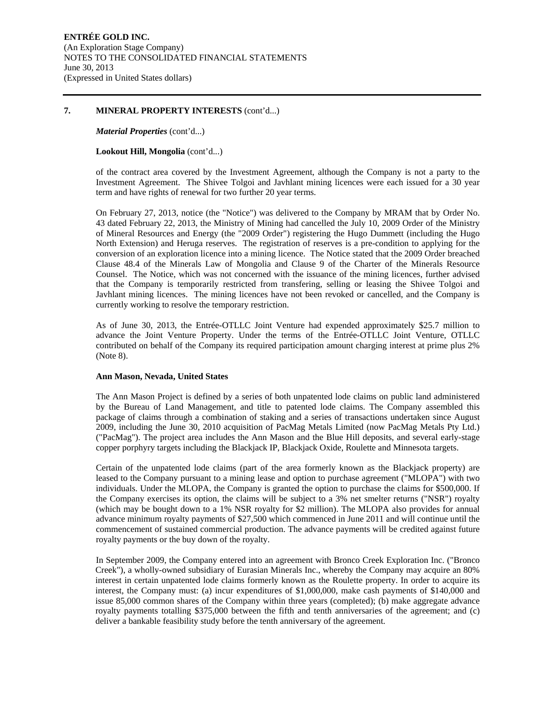#### **7. MINERAL PROPERTY INTERESTS** (cont'd...)

#### *Material Properties* (cont'd...)

#### **Lookout Hill, Mongolia** (cont'd...)

of the contract area covered by the Investment Agreement, although the Company is not a party to the Investment Agreement. The Shivee Tolgoi and Javhlant mining licences were each issued for a 30 year term and have rights of renewal for two further 20 year terms.

On February 27, 2013, notice (the "Notice") was delivered to the Company by MRAM that by Order No. 43 dated February 22, 2013, the Ministry of Mining had cancelled the July 10, 2009 Order of the Ministry of Mineral Resources and Energy (the "2009 Order") registering the Hugo Dummett (including the Hugo North Extension) and Heruga reserves. The registration of reserves is a pre-condition to applying for the conversion of an exploration licence into a mining licence. The Notice stated that the 2009 Order breached Clause 48.4 of the Minerals Law of Mongolia and Clause 9 of the Charter of the Minerals Resource Counsel. The Notice, which was not concerned with the issuance of the mining licences, further advised that the Company is temporarily restricted from transfering, selling or leasing the Shivee Tolgoi and Javhlant mining licences. The mining licences have not been revoked or cancelled, and the Company is currently working to resolve the temporary restriction.

As of June 30, 2013, the Entrée-OTLLC Joint Venture had expended approximately \$25.7 million to advance the Joint Venture Property. Under the terms of the Entrée-OTLLC Joint Venture, OTLLC contributed on behalf of the Company its required participation amount charging interest at prime plus 2% (Note 8).

#### **Ann Mason, Nevada, United States**

The Ann Mason Project is defined by a series of both unpatented lode claims on public land administered by the Bureau of Land Management, and title to patented lode claims. The Company assembled this package of claims through a combination of staking and a series of transactions undertaken since August 2009, including the June 30, 2010 acquisition of PacMag Metals Limited (now PacMag Metals Pty Ltd.) ("PacMag"). The project area includes the Ann Mason and the Blue Hill deposits, and several early-stage copper porphyry targets including the Blackjack IP, Blackjack Oxide, Roulette and Minnesota targets.

Certain of the unpatented lode claims (part of the area formerly known as the Blackjack property) are leased to the Company pursuant to a mining lease and option to purchase agreement ("MLOPA") with two individuals. Under the MLOPA, the Company is granted the option to purchase the claims for \$500,000. If the Company exercises its option, the claims will be subject to a 3% net smelter returns ("NSR") royalty (which may be bought down to a 1% NSR royalty for \$2 million). The MLOPA also provides for annual advance minimum royalty payments of \$27,500 which commenced in June 2011 and will continue until the commencement of sustained commercial production. The advance payments will be credited against future royalty payments or the buy down of the royalty.

In September 2009, the Company entered into an agreement with Bronco Creek Exploration Inc. ("Bronco Creek"), a wholly-owned subsidiary of Eurasian Minerals Inc., whereby the Company may acquire an 80% interest in certain unpatented lode claims formerly known as the Roulette property. In order to acquire its interest, the Company must: (a) incur expenditures of \$1,000,000, make cash payments of \$140,000 and issue 85,000 common shares of the Company within three years (completed); (b) make aggregate advance royalty payments totalling \$375,000 between the fifth and tenth anniversaries of the agreement; and (c) deliver a bankable feasibility study before the tenth anniversary of the agreement.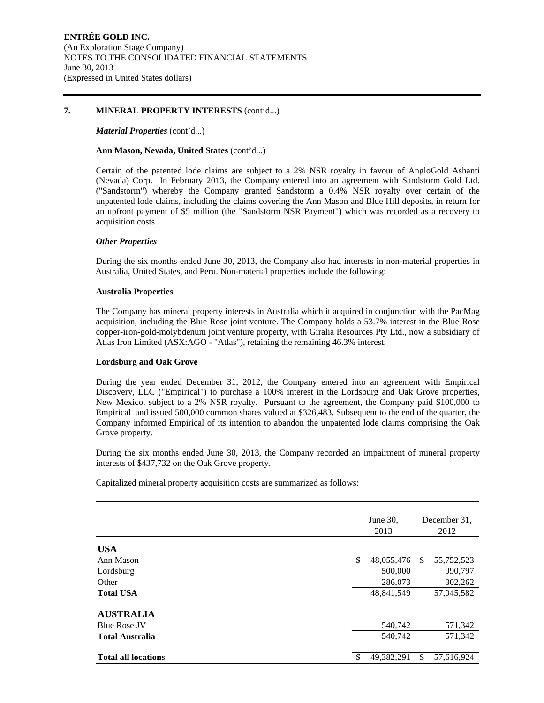#### **7. MINERAL PROPERTY INTERESTS** (cont'd...)

#### *Material Properties* (cont'd...)

#### **Ann Mason, Nevada, United States** (cont'd...)

Certain of the patented lode claims are subject to a 2% NSR royalty in favour of AngloGold Ashanti (Nevada) Corp. In February 2013, the Company entered into an agreement with Sandstorm Gold Ltd. ("Sandstorm") whereby the Company granted Sandstorm a 0.4% NSR royalty over certain of the unpatented lode claims, including the claims covering the Ann Mason and Blue Hill deposits, in return for an upfront payment of \$5 million (the "Sandstorm NSR Payment") which was recorded as a recovery to acquisition costs.

#### *Other Properties*

During the six months ended June 30, 2013, the Company also had interests in non-material properties in Australia, United States, and Peru. Non-material properties include the following:

#### **Australia Properties**

The Company has mineral property interests in Australia which it acquired in conjunction with the PacMag acquisition, including the Blue Rose joint venture. The Company holds a 53.7% interest in the Blue Rose copper-iron-gold-molybdenum joint venture property, with Giralia Resources Pty Ltd., now a subsidiary of Atlas Iron Limited (ASX:AGO - "Atlas"), retaining the remaining 46.3% interest.

#### **Lordsburg and Oak Grove**

During the year ended December 31, 2012, the Company entered into an agreement with Empirical Discovery, LLC ("Empirical") to purchase a 100% interest in the Lordsburg and Oak Grove properties, New Mexico, subject to a 2% NSR royalty. Pursuant to the agreement, the Company paid \$100,000 to Empirical and issued 500,000 common shares valued at \$326,483. Subsequent to the end of the quarter, the Company informed Empirical of its intention to abandon the unpatented lode claims comprising the Oak Grove property.

During the six months ended June 30, 2013, the Company recorded an impairment of mineral property interests of \$437,732 on the Oak Grove property.

Capitalized mineral property acquisition costs are summarized as follows:

|                            |     | June 30,<br>2013 | December 31.<br>2012 |            |  |
|----------------------------|-----|------------------|----------------------|------------|--|
| <b>USA</b>                 |     |                  |                      |            |  |
| Ann Mason                  | \$  | 48,055,476       | <sup>\$</sup>        | 55,752,523 |  |
| Lordsburg                  |     | 500,000          |                      | 990,797    |  |
| Other                      |     | 286,073          |                      | 302,262    |  |
| <b>Total USA</b>           |     | 48,841,549       |                      | 57,045,582 |  |
| <b>AUSTRALIA</b>           |     |                  |                      |            |  |
| <b>Blue Rose JV</b>        |     | 540,742          |                      | 571,342    |  |
| <b>Total Australia</b>     |     | 540,742          |                      | 571,342    |  |
| <b>Total all locations</b> | -\$ | 49,382,291       | \$                   | 57,616,924 |  |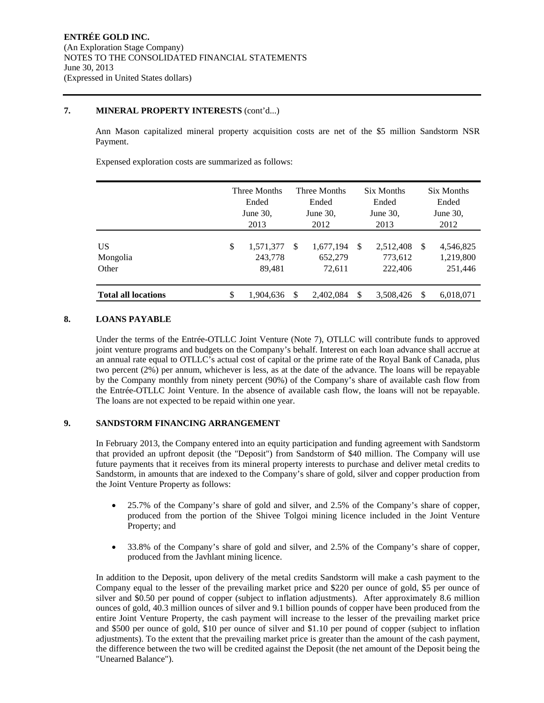#### **7. MINERAL PROPERTY INTERESTS** (cont'd...)

Ann Mason capitalized mineral property acquisition costs are net of the \$5 million Sandstorm NSR Payment.

Expensed exploration costs are summarized as follows:

|                            | Three Months<br>Ended<br>June $30$ ,<br>2013 |                                |    | Three Months<br>Ended<br>June $30$ ,<br>2012 |    | <b>Six Months</b><br>Ended<br>June $30$ ,<br>2013 | Six Months<br>Ended<br>June $30$ ,<br>2012 |                                   |  |
|----------------------------|----------------------------------------------|--------------------------------|----|----------------------------------------------|----|---------------------------------------------------|--------------------------------------------|-----------------------------------|--|
| US<br>Mongolia<br>Other    | \$                                           | 1,571,377<br>243,778<br>89,481 | -S | 1,677,194<br>652,279<br>72,611               | -S | 2,512,408<br>773,612<br>222,406                   | <sup>\$</sup>                              | 4,546,825<br>1,219,800<br>251,446 |  |
| <b>Total all locations</b> | \$                                           | 1,904,636                      | -S | 2,402,084                                    | S  | 3,508,426                                         | <sup>\$</sup>                              | 6,018,071                         |  |

## **8. LOANS PAYABLE**

Under the terms of the Entrée-OTLLC Joint Venture (Note 7), OTLLC will contribute funds to approved joint venture programs and budgets on the Company's behalf. Interest on each loan advance shall accrue at an annual rate equal to OTLLC's actual cost of capital or the prime rate of the Royal Bank of Canada, plus two percent (2%) per annum, whichever is less, as at the date of the advance. The loans will be repayable by the Company monthly from ninety percent (90%) of the Company's share of available cash flow from the Entrée-OTLLC Joint Venture. In the absence of available cash flow, the loans will not be repayable. The loans are not expected to be repaid within one year.

#### **9. SANDSTORM FINANCING ARRANGEMENT**

In February 2013, the Company entered into an equity participation and funding agreement with Sandstorm that provided an upfront deposit (the "Deposit") from Sandstorm of \$40 million. The Company will use future payments that it receives from its mineral property interests to purchase and deliver metal credits to Sandstorm, in amounts that are indexed to the Company's share of gold, silver and copper production from the Joint Venture Property as follows:

- 25.7% of the Company's share of gold and silver, and 2.5% of the Company's share of copper, produced from the portion of the Shivee Tolgoi mining licence included in the Joint Venture Property; and
- 33.8% of the Company's share of gold and silver, and 2.5% of the Company's share of copper, produced from the Javhlant mining licence.

In addition to the Deposit, upon delivery of the metal credits Sandstorm will make a cash payment to the Company equal to the lesser of the prevailing market price and \$220 per ounce of gold, \$5 per ounce of silver and \$0.50 per pound of copper (subject to inflation adjustments). After approximately 8.6 million ounces of gold, 40.3 million ounces of silver and 9.1 billion pounds of copper have been produced from the entire Joint Venture Property, the cash payment will increase to the lesser of the prevailing market price and \$500 per ounce of gold, \$10 per ounce of silver and \$1.10 per pound of copper (subject to inflation adjustments). To the extent that the prevailing market price is greater than the amount of the cash payment, the difference between the two will be credited against the Deposit (the net amount of the Deposit being the "Unearned Balance").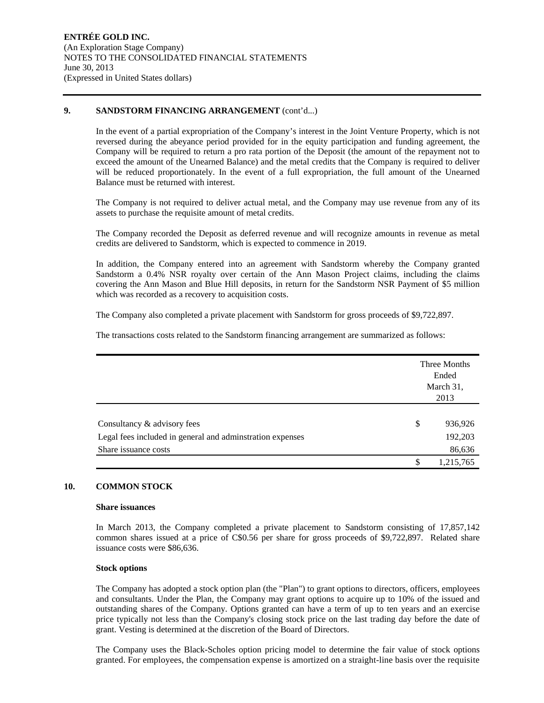#### **9. SANDSTORM FINANCING ARRANGEMENT** (cont'd...)

In the event of a partial expropriation of the Company's interest in the Joint Venture Property, which is not reversed during the abeyance period provided for in the equity participation and funding agreement, the Company will be required to return a pro rata portion of the Deposit (the amount of the repayment not to exceed the amount of the Unearned Balance) and the metal credits that the Company is required to deliver will be reduced proportionately. In the event of a full expropriation, the full amount of the Unearned Balance must be returned with interest.

The Company is not required to deliver actual metal, and the Company may use revenue from any of its assets to purchase the requisite amount of metal credits.

The Company recorded the Deposit as deferred revenue and will recognize amounts in revenue as metal credits are delivered to Sandstorm, which is expected to commence in 2019.

In addition, the Company entered into an agreement with Sandstorm whereby the Company granted Sandstorm a 0.4% NSR royalty over certain of the Ann Mason Project claims, including the claims covering the Ann Mason and Blue Hill deposits, in return for the Sandstorm NSR Payment of \$5 million which was recorded as a recovery to acquisition costs.

The Company also completed a private placement with Sandstorm for gross proceeds of \$9,722,897.

The transactions costs related to the Sandstorm financing arrangement are summarized as follows:

|                                                           | Three Months<br>Ended<br>March 31,<br>2013 |
|-----------------------------------------------------------|--------------------------------------------|
| Consultancy & advisory fees                               | \$<br>936,926                              |
| Legal fees included in general and adminstration expenses | 192,203                                    |
| Share issuance costs                                      | 86,636                                     |
|                                                           | \$<br>1,215,765                            |

#### **10. COMMON STOCK**

#### **Share issuances**

In March 2013, the Company completed a private placement to Sandstorm consisting of 17,857,142 common shares issued at a price of C\$0.56 per share for gross proceeds of \$9,722,897. Related share issuance costs were \$86,636.

#### **Stock options**

The Company has adopted a stock option plan (the "Plan") to grant options to directors, officers, employees and consultants. Under the Plan, the Company may grant options to acquire up to 10% of the issued and outstanding shares of the Company. Options granted can have a term of up to ten years and an exercise price typically not less than the Company's closing stock price on the last trading day before the date of grant. Vesting is determined at the discretion of the Board of Directors.

The Company uses the Black-Scholes option pricing model to determine the fair value of stock options granted. For employees, the compensation expense is amortized on a straight-line basis over the requisite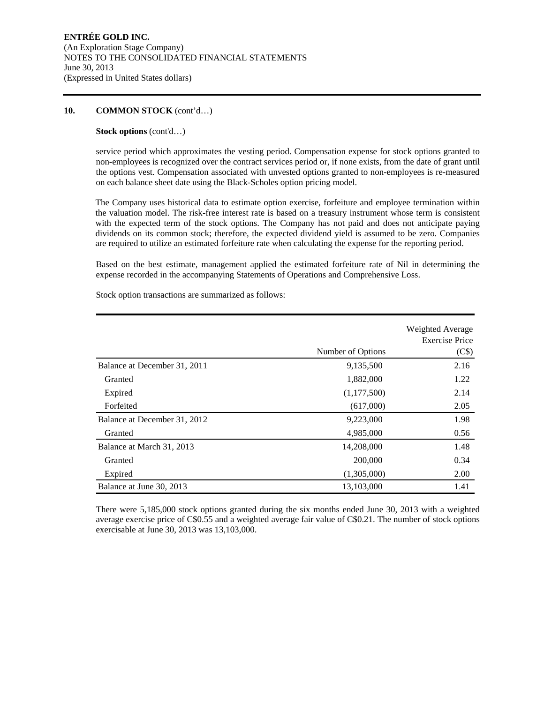#### **10. COMMON STOCK** (cont'd…)

#### **Stock options** (cont'd…)

service period which approximates the vesting period. Compensation expense for stock options granted to non-employees is recognized over the contract services period or, if none exists, from the date of grant until the options vest. Compensation associated with unvested options granted to non-employees is re-measured on each balance sheet date using the Black-Scholes option pricing model.

The Company uses historical data to estimate option exercise, forfeiture and employee termination within the valuation model. The risk-free interest rate is based on a treasury instrument whose term is consistent with the expected term of the stock options. The Company has not paid and does not anticipate paying dividends on its common stock; therefore, the expected dividend yield is assumed to be zero. Companies are required to utilize an estimated forfeiture rate when calculating the expense for the reporting period.

Based on the best estimate, management applied the estimated forfeiture rate of Nil in determining the expense recorded in the accompanying Statements of Operations and Comprehensive Loss.

|                              | Number of Options | Weighted Average<br><b>Exercise Price</b><br>(C\$) |
|------------------------------|-------------------|----------------------------------------------------|
| Balance at December 31, 2011 | 9,135,500         | 2.16                                               |
| Granted                      | 1,882,000         | 1.22                                               |
| Expired                      | (1,177,500)       | 2.14                                               |
| Forfeited                    | (617,000)         | 2.05                                               |
| Balance at December 31, 2012 | 9,223,000         | 1.98                                               |
| Granted                      | 4,985,000         | 0.56                                               |
| Balance at March 31, 2013    | 14,208,000        | 1.48                                               |
| Granted                      | 200,000           | 0.34                                               |
| Expired                      | (1,305,000)       | 2.00                                               |
| Balance at June 30, 2013     | 13,103,000        | 1.41                                               |

Stock option transactions are summarized as follows:

There were 5,185,000 stock options granted during the six months ended June 30, 2013 with a weighted average exercise price of C\$0.55 and a weighted average fair value of C\$0.21. The number of stock options exercisable at June 30, 2013 was 13,103,000.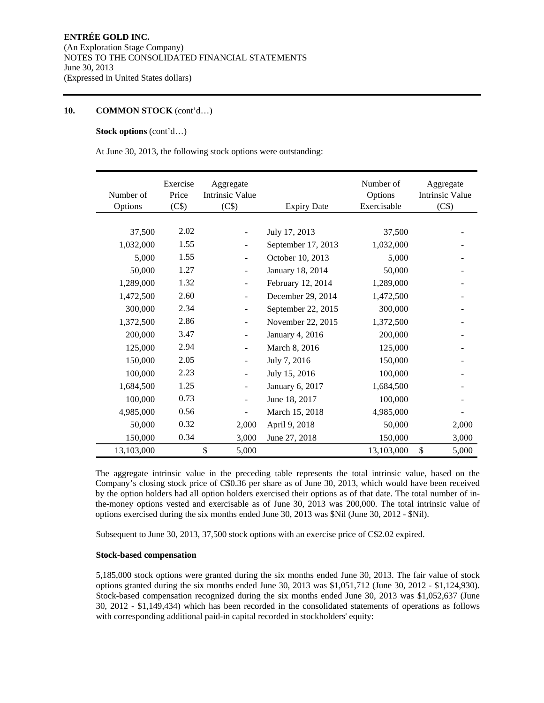### **10. COMMON STOCK** (cont'd…)

#### **Stock options** (cont'd…)

At June 30, 2013, the following stock options were outstanding:

| Number of<br>Options | Exercise<br>Price<br>(C\$) | Aggregate<br><b>Intrinsic Value</b><br>(C\$) | <b>Expiry Date</b> | Number of<br>Options<br>Exercisable | Aggregate<br><b>Intrinsic Value</b><br>(C\$) |
|----------------------|----------------------------|----------------------------------------------|--------------------|-------------------------------------|----------------------------------------------|
|                      |                            |                                              |                    |                                     |                                              |
| 37,500               | 2.02                       | $\overline{\phantom{0}}$                     | July 17, 2013      | 37,500                              |                                              |
| 1,032,000            | 1.55                       |                                              | September 17, 2013 | 1,032,000                           |                                              |
| 5,000                | 1.55                       |                                              | October 10, 2013   | 5.000                               |                                              |
| 50,000               | 1.27                       | $\overline{\phantom{a}}$                     | January 18, 2014   | 50,000                              |                                              |
| 1,289,000            | 1.32                       | ÷                                            | February 12, 2014  | 1,289,000                           |                                              |
| 1,472,500            | 2.60                       |                                              | December 29, 2014  | 1,472,500                           |                                              |
| 300,000              | 2.34                       | -                                            | September 22, 2015 | 300,000                             |                                              |
| 1,372,500            | 2.86                       |                                              | November 22, 2015  | 1,372,500                           |                                              |
| 200,000              | 3.47                       |                                              | January 4, 2016    | 200,000                             |                                              |
| 125,000              | 2.94                       | $\overline{\phantom{a}}$                     | March 8, 2016      | 125,000                             |                                              |
| 150,000              | 2.05                       |                                              | July 7, 2016       | 150,000                             |                                              |
| 100,000              | 2.23                       |                                              | July 15, 2016      | 100,000                             |                                              |
| 1,684,500            | 1.25                       | $\overline{\phantom{a}}$                     | January 6, 2017    | 1,684,500                           |                                              |
| 100,000              | 0.73                       |                                              | June 18, 2017      | 100,000                             |                                              |
| 4,985,000            | 0.56                       |                                              | March 15, 2018     | 4,985,000                           |                                              |
| 50,000               | 0.32                       | 2,000                                        | April 9, 2018      | 50,000                              | 2,000                                        |
| 150,000              | 0.34                       | 3,000                                        | June 27, 2018      | 150,000                             | 3,000                                        |
| 13,103,000           |                            | \$<br>5,000                                  |                    | 13,103,000                          | \$<br>5,000                                  |

The aggregate intrinsic value in the preceding table represents the total intrinsic value, based on the Company's closing stock price of C\$0.36 per share as of June 30, 2013, which would have been received by the option holders had all option holders exercised their options as of that date. The total number of inthe-money options vested and exercisable as of June 30, 2013 was 200,000. The total intrinsic value of options exercised during the six months ended June 30, 2013 was \$Nil (June 30, 2012 - \$Nil).

Subsequent to June 30, 2013, 37,500 stock options with an exercise price of C\$2.02 expired.

#### **Stock-based compensation**

5,185,000 stock options were granted during the six months ended June 30, 2013. The fair value of stock options granted during the six months ended June 30, 2013 was \$1,051,712 (June 30, 2012 - \$1,124,930). Stock-based compensation recognized during the six months ended June 30, 2013 was \$1,052,637 (June 30, 2012 - \$1,149,434) which has been recorded in the consolidated statements of operations as follows with corresponding additional paid-in capital recorded in stockholders' equity: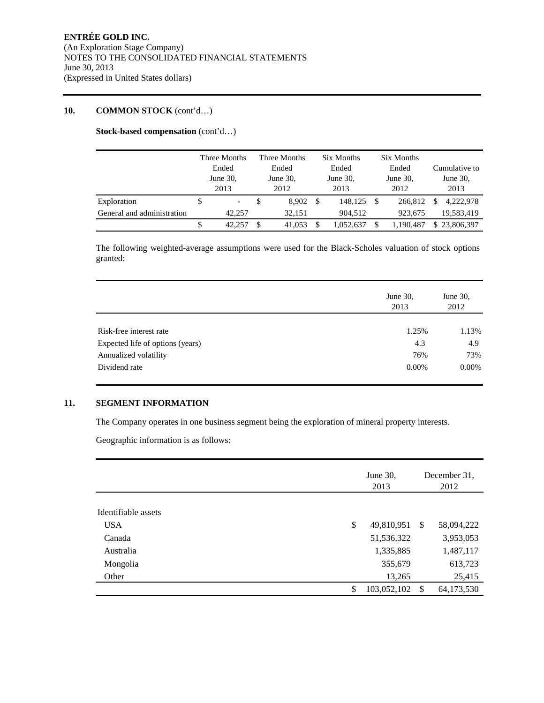## **10. COMMON STOCK** (cont'd…)

**Stock-based compensation** (cont'd…)

|                            |                      | Three Months             |                      | Three Months |      | Six Months  |             | Six Months |   |               |
|----------------------------|----------------------|--------------------------|----------------------|--------------|------|-------------|-------------|------------|---|---------------|
|                            | Ended<br>June $30$ , |                          | Ended<br>June $30$ , |              |      | Ended       |             | Ended      |   | Cumulative to |
|                            |                      |                          |                      |              |      | June $30$ , | June $30$ , |            |   | June $30$ ,   |
|                            |                      | 2013                     |                      | 2012         |      | 2013        |             | 2012       |   | 2013          |
| Exploration                | \$                   | $\overline{\phantom{a}}$ | \$                   | 8.902        | - \$ | 148.125     | - \$        | 266,812    | S | 4.222.978     |
| General and administration |                      | 42,257                   |                      | 32.151       |      | 904.512     |             | 923.675    |   | 19,583,419    |
|                            | \$                   | 42.257                   | \$                   | 41,053       |      | 1.052.637   | \$          | 1.190.487  |   | \$23,806,397  |

The following weighted-average assumptions were used for the Black-Scholes valuation of stock options granted:

|                                  | June 30,<br>2013 | June 30,<br>2012 |
|----------------------------------|------------------|------------------|
|                                  |                  |                  |
| Risk-free interest rate          | 1.25%            | 1.13%            |
| Expected life of options (years) | 4.3              | 4.9              |
| Annualized volatility            | 76%              | 73%              |
| Dividend rate                    | $0.00\%$         | $0.00\%$         |

## **11. SEGMENT INFORMATION**

The Company operates in one business segment being the exploration of mineral property interests.

Geographic information is as follows:

|                     | June $30$ ,<br>2013 | December 31.<br>2012 |            |  |
|---------------------|---------------------|----------------------|------------|--|
| Identifiable assets |                     |                      |            |  |
|                     |                     |                      |            |  |
| <b>USA</b>          | \$<br>49,810,951    | -S                   | 58,094,222 |  |
| Canada              | 51,536,322          |                      | 3,953,053  |  |
| Australia           | 1,335,885           |                      | 1,487,117  |  |
| Mongolia            | 355,679             |                      | 613,723    |  |
| Other               | 13,265              |                      | 25,415     |  |
|                     | \$<br>103,052,102   | S                    | 64,173,530 |  |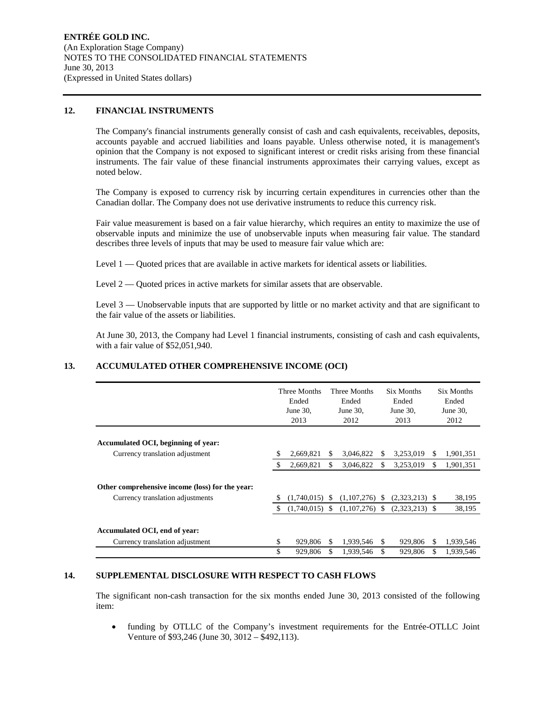#### **12. FINANCIAL INSTRUMENTS**

The Company's financial instruments generally consist of cash and cash equivalents, receivables, deposits, accounts payable and accrued liabilities and loans payable. Unless otherwise noted, it is management's opinion that the Company is not exposed to significant interest or credit risks arising from these financial instruments. The fair value of these financial instruments approximates their carrying values, except as noted below.

The Company is exposed to currency risk by incurring certain expenditures in currencies other than the Canadian dollar. The Company does not use derivative instruments to reduce this currency risk.

Fair value measurement is based on a fair value hierarchy, which requires an entity to maximize the use of observable inputs and minimize the use of unobservable inputs when measuring fair value. The standard describes three levels of inputs that may be used to measure fair value which are:

Level 1 — Quoted prices that are available in active markets for identical assets or liabilities.

Level  $2 -$  Quoted prices in active markets for similar assets that are observable.

Level 3 — Unobservable inputs that are supported by little or no market activity and that are significant to the fair value of the assets or liabilities.

At June 30, 2013, the Company had Level 1 financial instruments, consisting of cash and cash equivalents, with a fair value of \$52,051,940.

## **13. ACCUMULATED OTHER COMPREHENSIVE INCOME (OCI)**

|                                                                                     |    | Three Months<br>Ended<br>June $30$ ,<br>2013 |    | Three Months<br>Ended<br>June $30$ ,<br>2012 |    | Six Months<br>Ended<br>June 30,<br>2013 |     | Six Months<br>Ended<br>June $30$ ,<br>2012 |
|-------------------------------------------------------------------------------------|----|----------------------------------------------|----|----------------------------------------------|----|-----------------------------------------|-----|--------------------------------------------|
| Accumulated OCI, beginning of year:                                                 |    |                                              |    |                                              |    |                                         |     |                                            |
| Currency translation adjustment                                                     |    | 2,669,821                                    | S  | 3,046,822                                    | S  | 3,253,019                               | S.  | 1,901,351                                  |
|                                                                                     |    | 2,669,821                                    | \$ | 3,046,822                                    | S. | 3,253,019                               | \$  | 1,901,351                                  |
| Other comprehensive income (loss) for the year:<br>Currency translation adjustments |    | $(1,740,015)$ \$                             |    | $(1,107,276)$ \$                             |    | $(2,323,213)$ \$                        |     | 38,195                                     |
|                                                                                     | -S | $(1,740,015)$ \$                             |    | $(1,107,276)$ \$                             |    | $(2,323,213)$ \$                        |     | 38,195                                     |
| Accumulated OCI, end of year:<br>Currency translation adjustment                    | \$ | 929,806                                      |    | 1,939,546                                    | S. | 929,806                                 | \$. | 1,939,546                                  |
|                                                                                     | \$ | 929,806                                      | \$ | 1,939,546                                    | \$ | 929,806                                 | \$. | 1.939.546                                  |

#### **14. SUPPLEMENTAL DISCLOSURE WITH RESPECT TO CASH FLOWS**

The significant non-cash transaction for the six months ended June 30, 2013 consisted of the following item:

 funding by OTLLC of the Company's investment requirements for the Entrée-OTLLC Joint Venture of \$93,246 (June 30, 3012 – \$492,113).